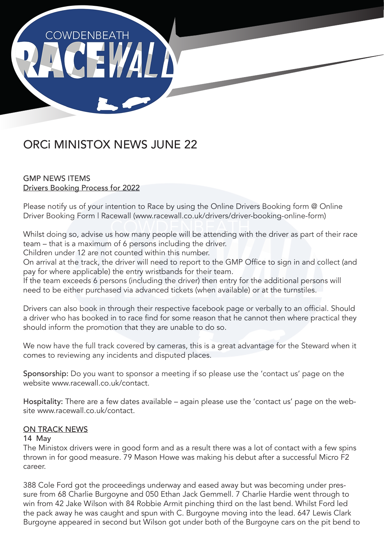

# ORCi MINISTOX NEWS JUNE 22

# GMP NEWS ITEMS Drivers Booking Process for 2022

Please notify us of your intention to Race by using the Online Drivers Booking form @ Online Driver Booking Form | Racewall (www.racewall.co.uk/drivers/driver-booking-online-form)

Whilst doing so, advise us how many people will be attending with the driver as part of their race team – that is a maximum of 6 persons including the driver.

Children under 12 are not counted within this number.

On arrival at the track, the driver will need to report to the GMP Office to sign in and collect (and pay for where applicable) the entry wristbands for their team.

If the team exceeds 6 persons (including the driver) then entry for the additional persons will need to be either purchased via advanced tickets (when available) or at the turnstiles.

Drivers can also book in through their respective facebook page or verbally to an official. Should a driver who has booked in to race find for some reason that he cannot then where practical they should inform the promotion that they are unable to do so.

We now have the full track covered by cameras, this is a great advantage for the Steward when it comes to reviewing any incidents and disputed places.

Sponsorship: Do you want to sponsor a meeting if so please use the 'contact us' page on the website www.racewall.co.uk/contact.

Hospitality: There are a few dates available – again please use the 'contact us' page on the website www.racewall.co.uk/contact.

# ON TRACK NEWS

#### 14 May

The Ministox drivers were in good form and as a result there was a lot of contact with a few spins thrown in for good measure. 79 Mason Howe was making his debut after a successful Micro F2 career.

388 Cole Ford got the proceedings underway and eased away but was becoming under pressure from 68 Charlie Burgoyne and 050 Ethan Jack Gemmell. 7 Charlie Hardie went through to win from 42 Jake Wilson with 84 Robbie Armit pinching third on the last bend. Whilst Ford led the pack away he was caught and spun with C. Burgoyne moving into the lead. 647 Lewis Clark Burgoyne appeared in second but Wilson got under both of the Burgoyne cars on the pit bend to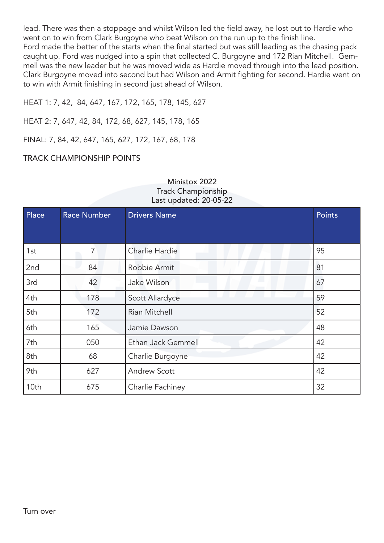lead. There was then a stoppage and whilst Wilson led the field away, he lost out to Hardie who went on to win from Clark Burgoyne who beat Wilson on the run up to the finish line. Ford made the better of the starts when the final started but was still leading as the chasing pack caught up. Ford was nudged into a spin that collected C. Burgoyne and 172 Rian Mitchell. Gemmell was the new leader but he was moved wide as Hardie moved through into the lead position. Clark Burgoyne moved into second but had Wilson and Armit fighting for second. Hardie went on to win with Armit finishing in second just ahead of Wilson.

HEAT 1: 7, 42, 84, 647, 167, 172, 165, 178, 145, 627

HEAT 2: 7, 647, 42, 84, 172, 68, 627, 145, 178, 165

FINAL: 7, 84, 42, 647, 165, 627, 172, 167, 68, 178

### TRACK CHAMPIONSHIP POINTS

| Ministox 2022             |
|---------------------------|
| <b>Track Championship</b> |
| Last updated: 20-05-22    |

| Place | <b>Race Number</b> | <b>Drivers Name</b> | Points |
|-------|--------------------|---------------------|--------|
|       |                    |                     |        |
| 1st   | 7                  | Charlie Hardie      | 95     |
| 2nd   | 84                 | Robbie Armit        | 81     |
| 3rd   | 42                 | Jake Wilson         | 67     |
| 4th   | 178                | Scott Allardyce     | 59     |
| 5th   | 172                | Rian Mitchell       | 52     |
| 6th   | 165                | Jamie Dawson        | 48     |
| 7th   | 050                | Ethan Jack Gemmell  | 42     |
| 8th   | 68                 | Charlie Burgoyne    | 42     |
| 9th   | 627                | <b>Andrew Scott</b> | 42     |
| 10th  | 675                | Charlie Fachiney    | 32     |